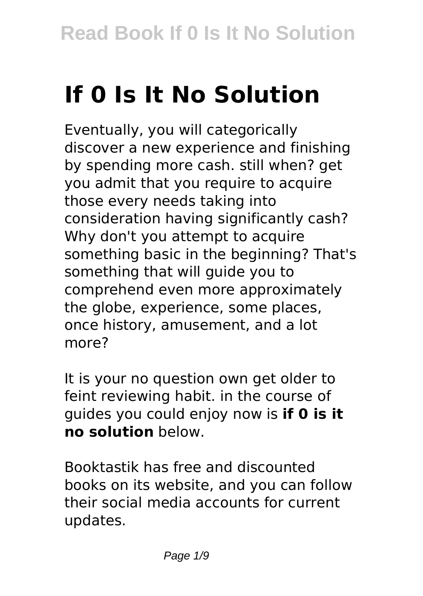# **If 0 Is It No Solution**

Eventually, you will categorically discover a new experience and finishing by spending more cash. still when? get you admit that you require to acquire those every needs taking into consideration having significantly cash? Why don't you attempt to acquire something basic in the beginning? That's something that will guide you to comprehend even more approximately the globe, experience, some places, once history, amusement, and a lot more?

It is your no question own get older to feint reviewing habit. in the course of guides you could enjoy now is **if 0 is it no solution** below.

Booktastik has free and discounted books on its website, and you can follow their social media accounts for current updates.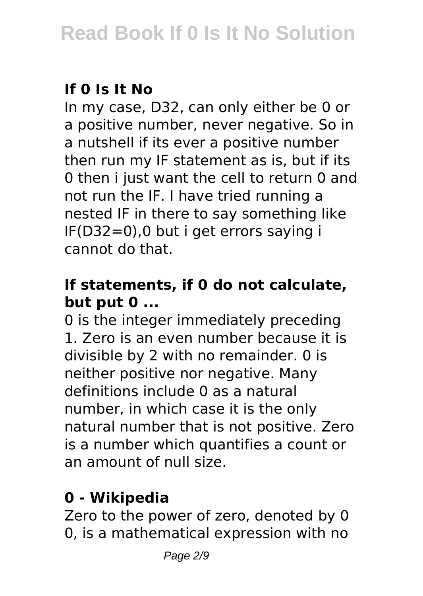### **If 0 Is It No**

In my case, D32, can only either be 0 or a positive number, never negative. So in a nutshell if its ever a positive number then run my IF statement as is, but if its 0 then i just want the cell to return 0 and not run the IF. I have tried running a nested IF in there to say something like IF(D32=0),0 but i get errors saying i cannot do that.

#### **If statements, if 0 do not calculate, but put 0 ...**

0 is the integer immediately preceding 1. Zero is an even number because it is divisible by 2 with no remainder. 0 is neither positive nor negative. Many definitions include 0 as a natural number, in which case it is the only natural number that is not positive. Zero is a number which quantifies a count or an amount of null size.

# **0 - Wikipedia**

Zero to the power of zero, denoted by 0 0, is a mathematical expression with no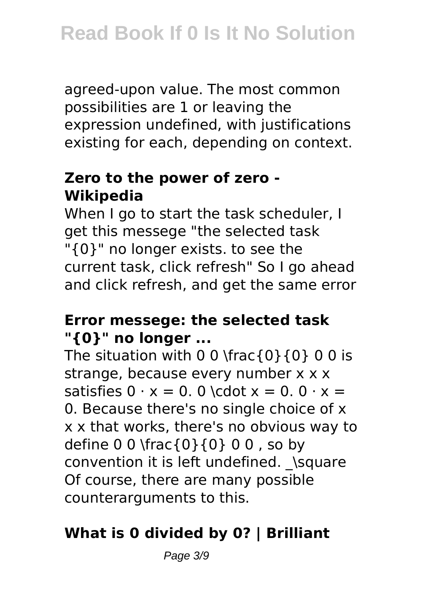agreed-upon value. The most common possibilities are 1 or leaving the expression undefined, with justifications existing for each, depending on context.

#### **Zero to the power of zero - Wikipedia**

When I go to start the task scheduler. I get this messege "the selected task "{0}" no longer exists. to see the current task, click refresh" So I go ahead and click refresh, and get the same error

#### **Error messege: the selected task "{0}" no longer ...**

The situation with 0 0 \frac{0}{0} 0 0 is strange, because every number x x x satisfies  $0 \cdot x = 0.0$  \cdot  $x = 0.0 \cdot x =$ 0. Because there's no single choice of x x x that works, there's no obvious way to define 0 0 \frac{0}{0} 0 0 , so by convention it is left undefined. \square Of course, there are many possible counterarguments to this.

# **What is 0 divided by 0? | Brilliant**

Page 3/9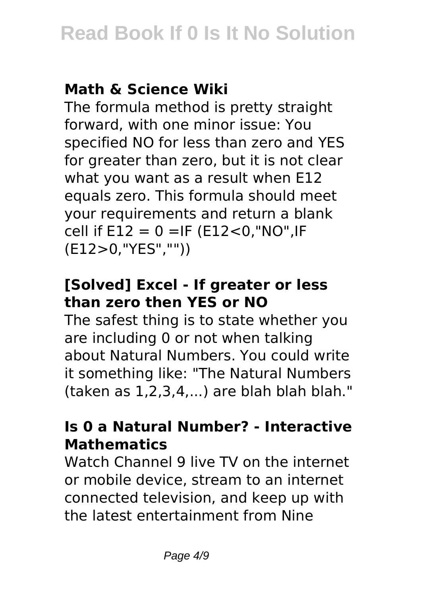# **Math & Science Wiki**

The formula method is pretty straight forward, with one minor issue: You specified NO for less than zero and YES for greater than zero, but it is not clear what you want as a result when E12 equals zero. This formula should meet your requirements and return a blank cell if  $E12 = 0 = IF (E12 < 0," NO", IF$ (E12>0,"YES",""))

#### **[Solved] Excel - If greater or less than zero then YES or NO**

The safest thing is to state whether you are including 0 or not when talking about Natural Numbers. You could write it something like: "The Natural Numbers (taken as 1,2,3,4,...) are blah blah blah."

#### **Is 0 a Natural Number? - Interactive Mathematics**

Watch Channel 9 live TV on the internet or mobile device, stream to an internet connected television, and keep up with the latest entertainment from Nine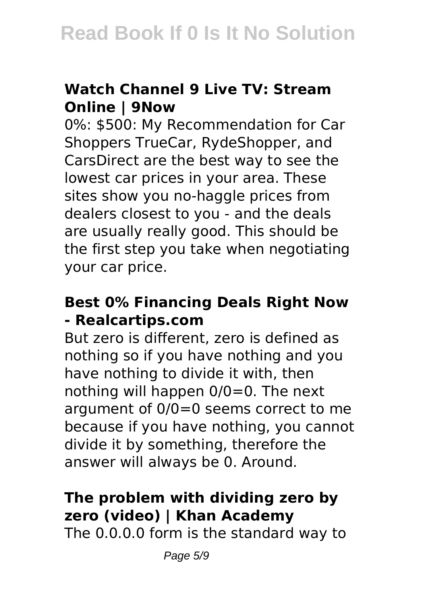#### **Watch Channel 9 Live TV: Stream Online | 9Now**

0%: \$500: My Recommendation for Car Shoppers TrueCar, RydeShopper, and CarsDirect are the best way to see the lowest car prices in your area. These sites show you no-haggle prices from dealers closest to you - and the deals are usually really good. This should be the first step you take when negotiating your car price.

#### **Best 0% Financing Deals Right Now - Realcartips.com**

But zero is different, zero is defined as nothing so if you have nothing and you have nothing to divide it with, then nothing will happen 0/0=0. The next argument of 0/0=0 seems correct to me because if you have nothing, you cannot divide it by something, therefore the answer will always be 0. Around.

# **The problem with dividing zero by zero (video) | Khan Academy**

The 0.0.0.0 form is the standard way to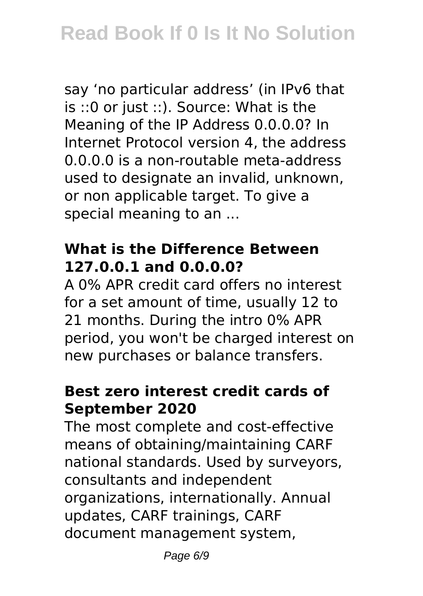say 'no particular address' (in IPv6 that is ::0 or just ::). Source: What is the Meaning of the IP Address 0.0.0.0? In Internet Protocol version 4, the address 0.0.0.0 is a non-routable meta-address used to designate an invalid, unknown, or non applicable target. To give a special meaning to an ...

#### **What is the Difference Between 127.0.0.1 and 0.0.0.0?**

A 0% APR credit card offers no interest for a set amount of time, usually 12 to 21 months. During the intro 0% APR period, you won't be charged interest on new purchases or balance transfers.

#### **Best zero interest credit cards of September 2020**

The most complete and cost-effective means of obtaining/maintaining CARF national standards. Used by surveyors, consultants and independent organizations, internationally. Annual updates, CARF trainings, CARF document management system,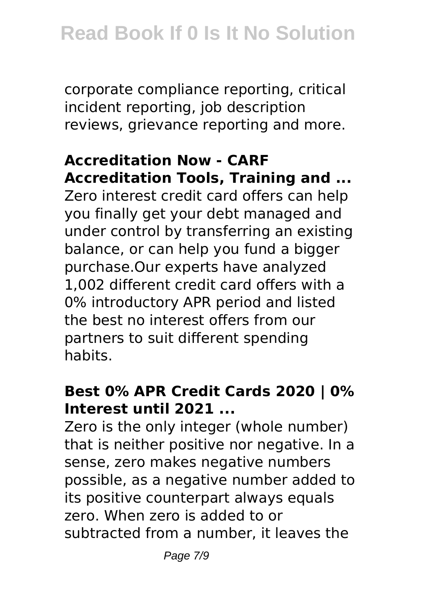corporate compliance reporting, critical incident reporting, job description reviews, grievance reporting and more.

# **Accreditation Now - CARF Accreditation Tools, Training and ...**

Zero interest credit card offers can help you finally get your debt managed and under control by transferring an existing balance, or can help you fund a bigger purchase.Our experts have analyzed 1,002 different credit card offers with a 0% introductory APR period and listed the best no interest offers from our partners to suit different spending habits.

### **Best 0% APR Credit Cards 2020 | 0% Interest until 2021 ...**

Zero is the only integer (whole number) that is neither positive nor negative. In a sense, zero makes negative numbers possible, as a negative number added to its positive counterpart always equals zero. When zero is added to or subtracted from a number, it leaves the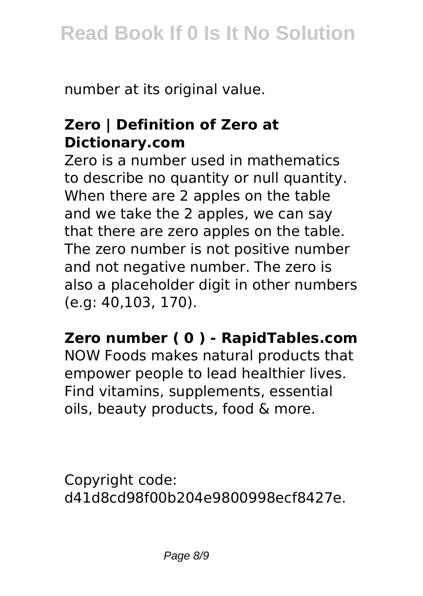number at its original value.

#### **Zero | Definition of Zero at Dictionary.com**

Zero is a number used in mathematics to describe no quantity or null quantity. When there are 2 apples on the table and we take the 2 apples, we can say that there are zero apples on the table. The zero number is not positive number and not negative number. The zero is also a placeholder digit in other numbers (e.g: 40,103, 170).

#### **Zero number ( 0 ) - RapidTables.com**

NOW Foods makes natural products that empower people to lead healthier lives. Find vitamins, supplements, essential oils, beauty products, food & more.

Copyright code: d41d8cd98f00b204e9800998ecf8427e.